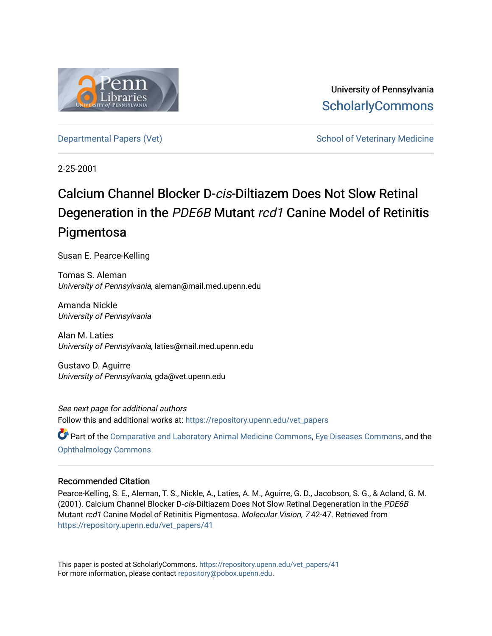

University of Pennsylvania **ScholarlyCommons** 

[Departmental Papers \(Vet\)](https://repository.upenn.edu/vet_papers) and School of Veterinary Medicine

2-25-2001

# Calcium Channel Blocker D-cis-Diltiazem Does Not Slow Retinal Degeneration in the PDE6B Mutant rcd1 Canine Model of Retinitis **Pigmentosa**

Susan E. Pearce-Kelling

Tomas S. Aleman University of Pennsylvania, aleman@mail.med.upenn.edu

Amanda Nickle University of Pennsylvania

Alan M. Laties University of Pennsylvania, laties@mail.med.upenn.edu

Gustavo D. Aguirre University of Pennsylvania, gda@vet.upenn.edu

See next page for additional authors Follow this and additional works at: [https://repository.upenn.edu/vet\\_papers](https://repository.upenn.edu/vet_papers?utm_source=repository.upenn.edu%2Fvet_papers%2F41&utm_medium=PDF&utm_campaign=PDFCoverPages) 

Part of the [Comparative and Laboratory Animal Medicine Commons](http://network.bepress.com/hgg/discipline/768?utm_source=repository.upenn.edu%2Fvet_papers%2F41&utm_medium=PDF&utm_campaign=PDFCoverPages), [Eye Diseases Commons,](http://network.bepress.com/hgg/discipline/957?utm_source=repository.upenn.edu%2Fvet_papers%2F41&utm_medium=PDF&utm_campaign=PDFCoverPages) and the [Ophthalmology Commons](http://network.bepress.com/hgg/discipline/695?utm_source=repository.upenn.edu%2Fvet_papers%2F41&utm_medium=PDF&utm_campaign=PDFCoverPages)

## Recommended Citation

Pearce-Kelling, S. E., Aleman, T. S., Nickle, A., Laties, A. M., Aguirre, G. D., Jacobson, S. G., & Acland, G. M. (2001). Calcium Channel Blocker D-cis-Diltiazem Does Not Slow Retinal Degeneration in the PDE6B Mutant rcd1 Canine Model of Retinitis Pigmentosa. Molecular Vision, 7 42-47. Retrieved from [https://repository.upenn.edu/vet\\_papers/41](https://repository.upenn.edu/vet_papers/41?utm_source=repository.upenn.edu%2Fvet_papers%2F41&utm_medium=PDF&utm_campaign=PDFCoverPages)

This paper is posted at ScholarlyCommons. [https://repository.upenn.edu/vet\\_papers/41](https://repository.upenn.edu/vet_papers/41) For more information, please contact [repository@pobox.upenn.edu.](mailto:repository@pobox.upenn.edu)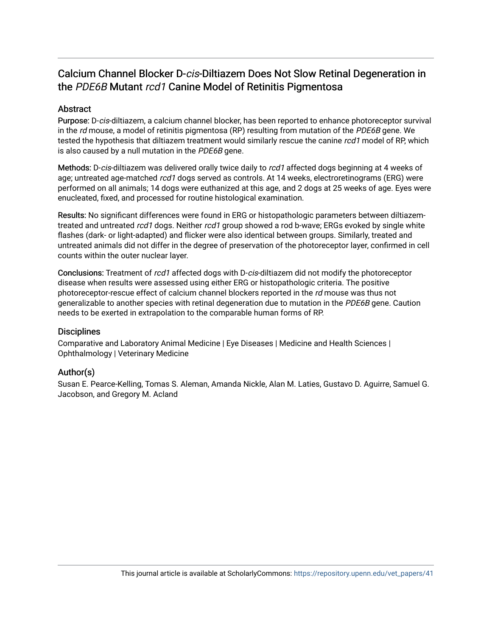## Calcium Channel Blocker D-cis-Diltiazem Does Not Slow Retinal Degeneration in the PDE6B Mutant rcd1 Canine Model of Retinitis Pigmentosa

## **Abstract**

Purpose: D-cis-diltiazem, a calcium channel blocker, has been reported to enhance photoreceptor survival in the rd mouse, a model of retinitis pigmentosa (RP) resulting from mutation of the PDE6B gene. We tested the hypothesis that diltiazem treatment would similarly rescue the canine rcd1 model of RP, which is also caused by a null mutation in the PDE6B gene.

Methods: D-cis-diltiazem was delivered orally twice daily to rcd1 affected dogs beginning at 4 weeks of age; untreated age-matched rcd1 dogs served as controls. At 14 weeks, electroretinograms (ERG) were performed on all animals; 14 dogs were euthanized at this age, and 2 dogs at 25 weeks of age. Eyes were enucleated, fixed, and processed for routine histological examination.

Results: No significant differences were found in ERG or histopathologic parameters between diltiazemtreated and untreated rcd1 dogs. Neither rcd1 group showed a rod b-wave; ERGs evoked by single white flashes (dark- or light-adapted) and flicker were also identical between groups. Similarly, treated and untreated animals did not differ in the degree of preservation of the photoreceptor layer, confirmed in cell counts within the outer nuclear layer.

Conclusions: Treatment of rcd1 affected dogs with D-cis-diltiazem did not modify the photoreceptor disease when results were assessed using either ERG or histopathologic criteria. The positive photoreceptor-rescue effect of calcium channel blockers reported in the rd mouse was thus not generalizable to another species with retinal degeneration due to mutation in the PDE6B gene. Caution needs to be exerted in extrapolation to the comparable human forms of RP.

## **Disciplines**

Comparative and Laboratory Animal Medicine | Eye Diseases | Medicine and Health Sciences | Ophthalmology | Veterinary Medicine

## Author(s)

Susan E. Pearce-Kelling, Tomas S. Aleman, Amanda Nickle, Alan M. Laties, Gustavo D. Aguirre, Samuel G. Jacobson, and Gregory M. Acland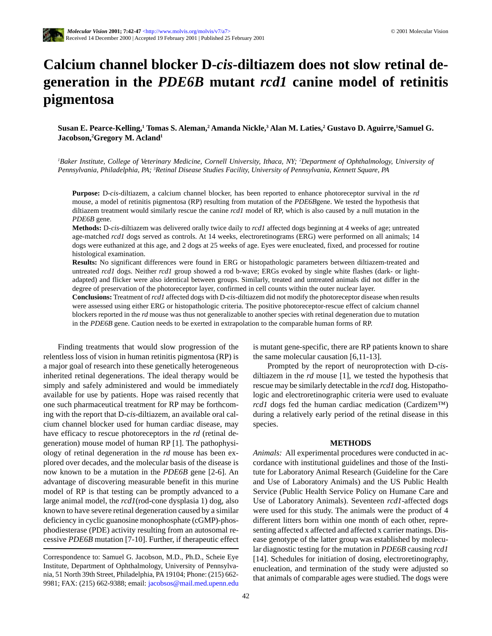## **Calcium channel blocker D-***cis***-diltiazem does not slow retinal degeneration in the** *PDE6B* **mutant** *rcd1* **canine model of retinitis pigmentosa**

 $\bf{S}$ usan E. Pearce-Kelling,<sup>1</sup> Tomas S. Aleman,<sup>2</sup> Amanda Nickle,<sup>3</sup> Alan M. Laties,<sup>2</sup> Gustavo D. Aguirre,<sup>1</sup>Samuel G. **Jacobson,2 Gregory M. Acland1**

<sup>*IBaker Institute, College of Veterinary Medicine, Cornell University, Ithaca, NY; <sup>2</sup>Department of Ophthalmology, University of</sup> Pennsylvania, Philadelphia, PA; 3 Retinal Disease Studies Facility, University of Pennsylvania, Kennett Square, PA*

**Purpose:** D-*cis*-diltiazem, a calcium channel blocker, has been reported to enhance photoreceptor survival in the *rd* mouse, a model of retinitis pigmentosa (RP) resulting from mutation of the *PDE6B*gene. We tested the hypothesis that diltiazem treatment would similarly rescue the canine *rcd1* model of RP, which is also caused by a null mutation in the *PDE6B* gene.

**Methods:** D-*cis*-diltiazem was delivered orally twice daily to *rcd1* affected dogs beginning at 4 weeks of age; untreated age-matched *rcd1* dogs served as controls. At 14 weeks, electroretinograms (ERG) were performed on all animals; 14 dogs were euthanized at this age, and 2 dogs at 25 weeks of age. Eyes were enucleated, fixed, and processed for routine histological examination.

**Results:** No significant differences were found in ERG or histopathologic parameters between diltiazem-treated and untreated *rcd1* dogs. Neither *rcd1* group showed a rod b-wave; ERGs evoked by single white flashes (dark- or lightadapted) and flicker were also identical between groups. Similarly, treated and untreated animals did not differ in the degree of preservation of the photoreceptor layer, confirmed in cell counts within the outer nuclear layer.

**Conclusions:** Treatment of *rcd1* affected dogs with D-*cis*-diltiazem did not modify the photoreceptor disease when results were assessed using either ERG or histopathologic criteria. The positive photoreceptor-rescue effect of calcium channel blockers reported in the *rd* mouse was thus not generalizable to another species with retinal degeneration due to mutation in the *PDE6B* gene. Caution needs to be exerted in extrapolation to the comparable human forms of RP.

Finding treatments that would slow progression of the relentless loss of vision in human retinitis pigmentosa (RP) is a major goal of research into these genetically heterogeneous inherited retinal degenerations. The ideal therapy would be simply and safely administered and would be immediately available for use by patients. Hope was raised recently that one such pharmaceutical treatment for RP may be forthcoming with the report that D-*cis*-diltiazem, an available oral calcium channel blocker used for human cardiac disease, may have efficacy to rescue photoreceptors in the *rd* (retinal degeneration) mouse model of human RP [1]. The pathophysiology of retinal degeneration in the *rd* mouse has been explored over decades, and the molecular basis of the disease is now known to be a mutation in the *PDE6B* gene [2-6]. An advantage of discovering measurable benefit in this murine model of RP is that testing can be promptly advanced to a large animal model, the *rcd1*(rod-cone dysplasia 1) dog, also known to have severe retinal degeneration caused by a similar deficiency in cyclic guanosine monophosphate (cGMP)-phosphodiesterase (PDE) activity resulting from an autosomal recessive *PDE6B* mutation [7-10]. Further, if therapeutic effect is mutant gene-specific, there are RP patients known to share the same molecular causation [6,11-13].

Prompted by the report of neuroprotection with D-*cis*diltiazem in the *rd* mouse [1], we tested the hypothesis that rescue may be similarly detectable in the *rcd1* dog. Histopathologic and electroretinographic criteria were used to evaluate *rcd1* dogs fed the human cardiac medication (Cardizem<sup>™)</sup> during a relatively early period of the retinal disease in this species.

#### **METHODS**

*Animals:* All experimental procedures were conducted in accordance with institutional guidelines and those of the Institute for Laboratory Animal Research (Guideline for the Care and Use of Laboratory Animals) and the US Public Health Service (Public Health Service Policy on Humane Care and Use of Laboratory Animals). Seventeen *rcd1*-affected dogs were used for this study. The animals were the product of 4 different litters born within one month of each other, representing affected x affected and affected x carrier matings. Disease genotype of the latter group was established by molecular diagnostic testing for the mutation in *PDE6B* causing *rcd1* [14]. Schedules for initiation of dosing, electroretinography, enucleation, and termination of the study were adjusted so that animals of comparable ages were studied. The dogs were

Correspondence to: Samuel G. Jacobson, M.D., Ph.D., Scheie Eye Institute, Department of Ophthalmology, University of Pennsylvania, 51 North 39th Street, Philadelphia, PA 19104; Phone: (215) 662- 9981; FAX: (215) 662-9388; email: jacobsos@mail.med.upenn.edu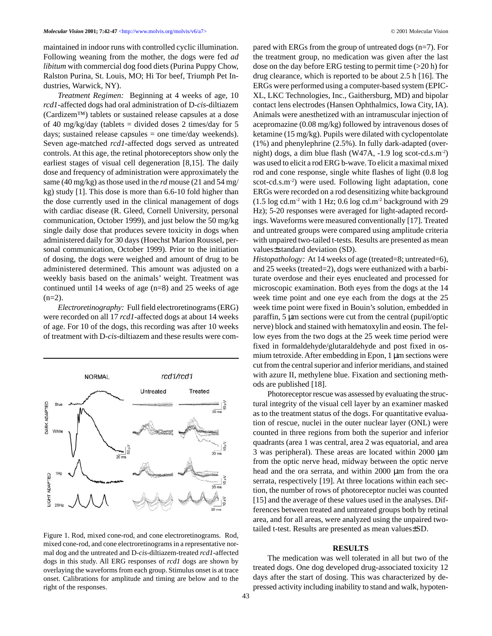maintained in indoor runs with controlled cyclic illumination. Following weaning from the mother, the dogs were fed *ad libitum* with commercial dog food diets (Purina Puppy Chow, Ralston Purina, St. Louis, MO; Hi Tor beef, Triumph Pet Industries, Warwick, NY).

*Treatment Regimen:* Beginning at 4 weeks of age, 10 *rcd1*-affected dogs had oral administration of D-*cis*-diltiazem (Cardizem™) tablets or sustained release capsules at a dose of 40 mg/kg/day (tablets  $=$  divided doses 2 times/day for 5 days; sustained release capsules = one time/day weekends). Seven age-matched *rcd1*-affected dogs served as untreated controls. At this age, the retinal photoreceptors show only the earliest stages of visual cell degeneration [8,15]. The daily dose and frequency of administration were approximately the same (40 mg/kg) as those used in the *rd* mouse (21 and 54 mg/ kg) study [1]. This dose is more than 6.6-10 fold higher than the dose currently used in the clinical management of dogs with cardiac disease (R. Gleed, Cornell University, personal communication, October 1999), and just below the 50 mg/kg single daily dose that produces severe toxicity in dogs when administered daily for 30 days (Hoechst Marion Roussel, personal communication, October 1999). Prior to the initiation of dosing, the dogs were weighed and amount of drug to be administered determined. This amount was adjusted on a weekly basis based on the animals' weight. Treatment was continued until 14 weeks of age (n=8) and 25 weeks of age  $(n=2)$ .

*Electroretinography:* Full field electroretinograms (ERG) were recorded on all 17 *rcd1*-affected dogs at about 14 weeks of age. For 10 of the dogs, this recording was after 10 weeks of treatment with D-*cis*-diltiazem and these results were com-



Figure 1. Rod, mixed cone-rod, and cone electroretinograms. Rod, mixed cone-rod, and cone electroretinograms in a representative normal dog and the untreated and D-*cis*-diltiazem-treated *rcd1-*affected dogs in this study. All ERG responses of *rcd1* dogs are shown by overlaying the waveforms from each group. Stimulus onset is at trace onset. Calibrations for amplitude and timing are below and to the right of the responses.

pared with ERGs from the group of untreated dogs (n=7). For the treatment group, no medication was given after the last dose on the day before ERG testing to permit time (>20 h) for drug clearance, which is reported to be about 2.5 h [16]. The ERGs were performed using a computer-based system (EPIC-XL, LKC Technologies, Inc., Gaithersburg, MD) and bipolar contact lens electrodes (Hansen Ophthalmics, Iowa City, IA). Animals were anesthetized with an intramuscular injection of acepromazine (0.08 mg/kg) followed by intravenous doses of ketamine (15 mg/kg). Pupils were dilated with cyclopentolate (1%) and phenylephrine (2.5%). In fully dark-adapted (overnight) dogs, a dim blue flash (W47A, -1.9 log scot-cd.s.m-2) was used to elicit a rod ERG b-wave. To elicit a maximal mixed rod and cone response, single white flashes of light (0.8 log scot-cd.s.m<sup>2</sup>) were used. Following light adaptation, cone ERGs were recorded on a rod desensitizing white background  $(1.5 \log \text{cd.m}^2 \text{ with } 1 \text{ Hz}; 0.6 \log \text{cd.m}^2 \text{ background with } 29)$ Hz); 5-20 responses were averaged for light-adapted recordings. Waveforms were measured conventionally [17]. Treated and untreated groups were compared using amplitude criteria with unpaired two-tailed t-tests. Results are presented as mean values±standard deviation (SD).

*Histopathology:* At 14 weeks of age (treated=8; untreated=6), and 25 weeks (treated=2), dogs were euthanized with a barbiturate overdose and their eyes enucleated and processed for microscopic examination. Both eyes from the dogs at the 14 week time point and one eye each from the dogs at the 25 week time point were fixed in Bouin's solution, embedded in paraffin, 5 µm sections were cut from the central (pupil/optic nerve) block and stained with hematoxylin and eosin. The fellow eyes from the two dogs at the 25 week time period were fixed in formaldehyde/glutaraldehyde and post fixed in osmium tetroxide. After embedding in Epon, 1 µm sections were cut from the central superior and inferior meridians, and stained with azure II, methylene blue. Fixation and sectioning methods are published [18].

Photoreceptor rescue was assessed by evaluating the structural integrity of the visual cell layer by an examiner masked as to the treatment status of the dogs. For quantitative evaluation of rescue, nuclei in the outer nuclear layer (ONL) were counted in three regions from both the superior and inferior quadrants (area 1 was central, area 2 was equatorial, and area 3 was peripheral). These areas are located within 2000 µm from the optic nerve head, midway between the optic nerve head and the ora serrata, and within 2000 µm from the ora serrata, respectively [19]. At three locations within each section, the number of rows of photoreceptor nuclei was counted [15] and the average of these values used in the analyses. Differences between treated and untreated groups both by retinal area, and for all areas, were analyzed using the unpaired twotailed t-test. Results are presented as mean values±SD.

### **RESULTS**

The medication was well tolerated in all but two of the treated dogs. One dog developed drug-associated toxicity 12 days after the start of dosing. This was characterized by depressed activity including inability to stand and walk, hypoten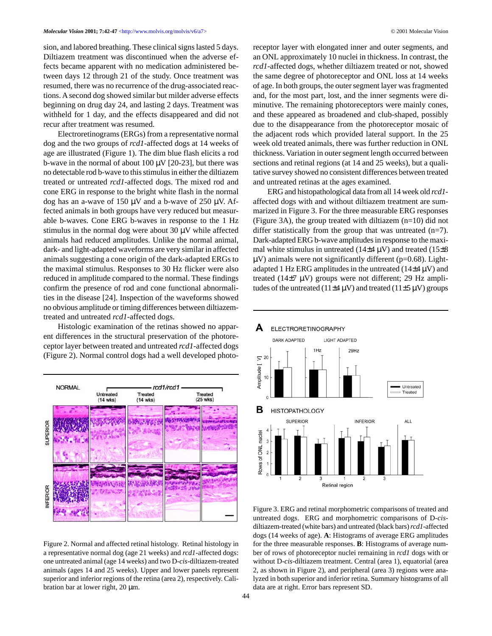sion, and labored breathing. These clinical signs lasted 5 days. Diltiazem treatment was discontinued when the adverse effects became apparent with no medication administered between days 12 through 21 of the study. Once treatment was resumed, there was no recurrence of the drug-associated reactions. A second dog showed similar but milder adverse effects beginning on drug day 24, and lasting 2 days. Treatment was withheld for 1 day, and the effects disappeared and did not recur after treatment was resumed.

Electroretinograms (ERGs) from a representative normal dog and the two groups of *rcd1*-affected dogs at 14 weeks of age are illustrated (Figure 1). The dim blue flash elicits a rod b-wave in the normal of about  $100 \mu V$  [20-23], but there was no detectable rod b-wave to this stimulus in either the diltiazem treated or untreated *rcd1*-affected dogs. The mixed rod and cone ERG in response to the bright white flash in the normal dog has an a-wave of 150  $\mu$ V and a b-wave of 250  $\mu$ V. Affected animals in both groups have very reduced but measurable b-waves. Cone ERG b-waves in response to the 1 Hz stimulus in the normal dog were about  $30 \mu V$  while affected animals had reduced amplitudes. Unlike the normal animal, dark- and light-adapted waveforms are very similar in affected animals suggesting a cone origin of the dark-adapted ERGs to the maximal stimulus. Responses to 30 Hz flicker were also reduced in amplitude compared to the normal. These findings confirm the presence of rod and cone functional abnormalities in the disease [24]. Inspection of the waveforms showed no obvious amplitude or timing differences between diltiazemtreated and untreated *rcd1*-affected dogs.

Histologic examination of the retinas showed no apparent differences in the structural preservation of the photoreceptor layer between treated and untreated *rcd1*-affected dogs (Figure 2). Normal control dogs had a well developed photo-



Figure 2. Normal and affected retinal histology. Retinal histology in a representative normal dog (age 21 weeks) and *rcd1*-affected dogs: one untreated animal (age 14 weeks) and two D-*cis*-diltiazem-treated animals (ages 14 and 25 weeks). Upper and lower panels represent superior and inferior regions of the retina (area 2), respectively. Calibration bar at lower right, 20 µm.

receptor layer with elongated inner and outer segments, and an ONL approximately 10 nuclei in thickness. In contrast, the *rcd1*-affected dogs, whether diltiazem treated or not, showed the same degree of photoreceptor and ONL loss at 14 weeks of age. In both groups, the outer segment layer was fragmented and, for the most part, lost, and the inner segments were diminutive. The remaining photoreceptors were mainly cones, and these appeared as broadened and club-shaped, possibly due to the disappearance from the photoreceptor mosaic of the adjacent rods which provided lateral support. In the 25 week old treated animals, there was further reduction in ONL thickness. Variation in outer segment length occurred between sections and retinal regions (at 14 and 25 weeks), but a qualitative survey showed no consistent differences between treated and untreated retinas at the ages examined.

ERG and histopathological data from all 14 week old *rcd1* affected dogs with and without diltiazem treatment are summarized in Figure 3. For the three measurable ERG responses (Figure 3A), the group treated with diltiazem (n=10) did not differ statistically from the group that was untreated  $(n=7)$ . Dark-adapted ERG b-wave amplitudes in response to the maximal white stimulus in untreated (14 $\pm$ 4  $\mu$ V) and treated (15 $\pm$ 8  $\mu$ V) animals were not significantly different (p=0.68). Lightadapted 1 Hz ERG amplitudes in the untreated  $(14\pm4 \,\mu\text{V})$  and treated (14±7 µV) groups were not different; 29 Hz amplitudes of the untreated (11 $\pm$ 4  $\mu$ V) and treated (11 $\pm$ 5  $\mu$ V) groups



Figure 3. ERG and retinal morphometric comparisons of treated and untreated dogs. ERG and morphometric comparisons of D-*cis*diltiazem-treated (white bars) and untreated (black bars) *rcd1*-affected dogs (14 weeks of age). **A**: Histograms of average ERG amplitudes for the three measurable responses. **B**: Histograms of average number of rows of photoreceptor nuclei remaining in *rcd1* dogs with or without D-*cis*-diltiazem treatment. Central (area 1), equatorial (area 2, as shown in Figure 2), and peripheral (area 3) regions were analyzed in both superior and inferior retina. Summary histograms of all data are at right. Error bars represent SD.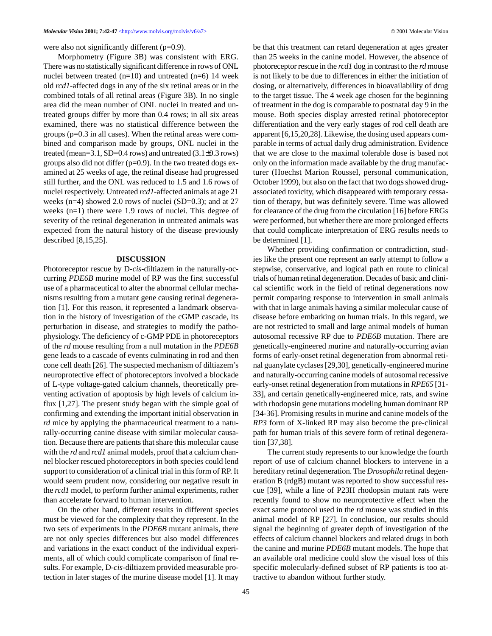were also not significantly different (p=0.9).

Morphometry (Figure 3B) was consistent with ERG. There was no statistically significant difference in rows of ONL nuclei between treated  $(n=10)$  and untreated  $(n=6)$  14 week old *rcd1*-affected dogs in any of the six retinal areas or in the combined totals of all retinal areas (Figure 3B). In no single area did the mean number of ONL nuclei in treated and untreated groups differ by more than 0.4 rows; in all six areas examined, there was no statistical difference between the groups (p=0.3 in all cases). When the retinal areas were combined and comparison made by groups, ONL nuclei in the treated (mean=3.1, SD=0.4 rows) and untreated  $(3.1\pm0.3 \text{ rows})$ groups also did not differ (p=0.9). In the two treated dogs examined at 25 weeks of age, the retinal disease had progressed still further, and the ONL was reduced to 1.5 and 1.6 rows of nuclei respectively. Untreated *rcd1*-affected animals at age 21 weeks (n=4) showed 2.0 rows of nuclei (SD=0.3); and at 27 weeks (n=1) there were 1.9 rows of nuclei. This degree of severity of the retinal degeneration in untreated animals was expected from the natural history of the disease previously described [8,15,25].

### **DISCUSSION**

Photoreceptor rescue by D-*cis*-diltiazem in the naturally-occurring *PDE6B* murine model of RP was the first successful use of a pharmaceutical to alter the abnormal cellular mechanisms resulting from a mutant gene causing retinal degeneration [1]. For this reason, it represented a landmark observation in the history of investigation of the cGMP cascade, its perturbation in disease, and strategies to modify the pathophysiology. The deficiency of c-GMP PDE in photoreceptors of the *rd* mouse resulting from a null mutation in the *PDE6B* gene leads to a cascade of events culminating in rod and then cone cell death [26]. The suspected mechanism of diltiazem's neuroprotective effect of photoreceptors involved a blockade of L-type voltage-gated calcium channels, theoretically preventing activation of apoptosis by high levels of calcium influx [1,27]. The present study began with the simple goal of confirming and extending the important initial observation in *rd* mice by applying the pharmaceutical treatment to a naturally-occurring canine disease with similar molecular causation. Because there are patients that share this molecular cause with the *rd* and *rcd1* animal models, proof that a calcium channel blocker rescued photoreceptors in both species could lend support to consideration of a clinical trial in this form of RP. It would seem prudent now, considering our negative result in the *rcd1* model, to perform further animal experiments, rather than accelerate forward to human intervention.

On the other hand, different results in different species must be viewed for the complexity that they represent. In the two sets of experiments in the *PDE6B* mutant animals, there are not only species differences but also model differences and variations in the exact conduct of the individual experiments, all of which could complicate comparison of final results. For example, D-*cis*-diltiazem provided measurable protection in later stages of the murine disease model [1]. It may be that this treatment can retard degeneration at ages greater than 25 weeks in the canine model. However, the absence of photoreceptor rescue in the *rcd1* dog in contrast to the *rd* mouse is not likely to be due to differences in either the initiation of dosing, or alternatively, differences in bioavailability of drug to the target tissue. The 4 week age chosen for the beginning of treatment in the dog is comparable to postnatal day 9 in the mouse. Both species display arrested retinal photoreceptor differentiation and the very early stages of rod cell death are apparent [6,15,20,28]. Likewise, the dosing used appears comparable in terms of actual daily drug administration. Evidence that we are close to the maximal tolerable dose is based not only on the information made available by the drug manufacturer (Hoechst Marion Roussel, personal communication, October 1999), but also on the fact that two dogs showed drugassociated toxicity, which disappeared with temporary cessation of therapy, but was definitely severe. Time was allowed for clearance of the drug from the circulation [16] before ERGs were performed, but whether there are more prolonged effects that could complicate interpretation of ERG results needs to be determined [1].

Whether providing confirmation or contradiction, studies like the present one represent an early attempt to follow a stepwise, conservative, and logical path en route to clinical trials of human retinal degeneration. Decades of basic and clinical scientific work in the field of retinal degenerations now permit comparing response to intervention in small animals with that in large animals having a similar molecular cause of disease before embarking on human trials. In this regard, we are not restricted to small and large animal models of human autosomal recessive RP due to *PDE6B* mutation. There are genetically-engineered murine and naturally-occurring avian forms of early-onset retinal degeneration from abnormal retinal guanylate cyclases [29,30], genetically-engineered murine and naturally-occurring canine models of autosomal recessive early-onset retinal degeneration from mutations in *RPE65* [31- 33], and certain genetically-engineered mice, rats, and swine with rhodopsin gene mutations modeling human dominant RP [34-36]. Promising results in murine and canine models of the *RP3* form of X-linked RP may also become the pre-clinical path for human trials of this severe form of retinal degeneration [37,38].

The current study represents to our knowledge the fourth report of use of calcium channel blockers to intervene in a hereditary retinal degeneration. The *Drosophila* retinal degeneration B (rdgB) mutant was reported to show successful rescue [39], while a line of P23H rhodopsin mutant rats were recently found to show no neuroprotective effect when the exact same protocol used in the *rd* mouse was studied in this animal model of RP [27]. In conclusion, our results should signal the beginning of greater depth of investigation of the effects of calcium channel blockers and related drugs in both the canine and murine *PDE6B* mutant models. The hope that an available oral medicine could slow the visual loss of this specific molecularly-defined subset of RP patients is too attractive to abandon without further study.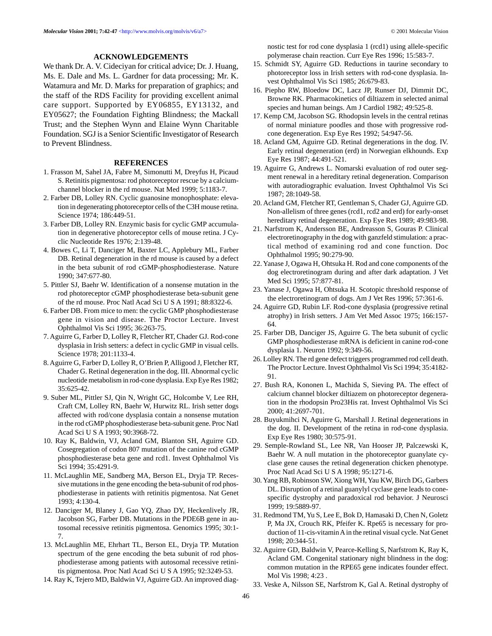### **ACKNOWLEDGEMENTS**

We thank Dr. A. V. Cideciyan for critical advice; Dr. J. Huang, Ms. E. Dale and Ms. L. Gardner for data processing; Mr. K. Watamura and Mr. D. Marks for preparation of graphics; and the staff of the RDS Facility for providing excellent animal care support. Supported by EY06855, EY13132, and EY05627; the Foundation Fighting Blindness; the Mackall Trust; and the Stephen Wynn and Elaine Wynn Charitable Foundation. SGJ is a Senior Scientific Investigator of Research to Prevent Blindness.

### **REFERENCES**

- 1. Frasson M, Sahel JA, Fabre M, Simonutti M, Dreyfus H, Picaud S. Retinitis pigmentosa: rod photoreceptor rescue by a calciumchannel blocker in the rd mouse. Nat Med 1999; 5:1183-7.
- 2. Farber DB, Lolley RN. Cyclic guanosine monophosphate: elevation in degenerating photoreceptor cells of the C3H mouse retina. Science 1974; 186:449-51.
- 3. Farber DB, Lolley RN. Enzymic basis for cyclic GMP accumulation in degenerative photoreceptor cells of mouse retina. J Cyclic Nucleotide Res 1976; 2:139-48.
- 4. Bowes C, Li T, Danciger M, Baxter LC, Applebury ML, Farber DB. Retinal degeneration in the rd mouse is caused by a defect in the beta subunit of rod cGMP-phosphodiesterase. Nature 1990; 347:677-80.
- 5. Pittler SJ, Baehr W. Identification of a nonsense mutation in the rod photoreceptor cGMP phosphodiesterase beta-subunit gene of the rd mouse. Proc Natl Acad Sci U S A 1991; 88:8322-6.
- 6. Farber DB. From mice to men: the cyclic GMP phosphodiesterase gene in vision and disease. The Proctor Lecture. Invest Ophthalmol Vis Sci 1995; 36:263-75.
- 7. Aguirre G, Farber D, Lolley R, Fletcher RT, Chader GJ. Rod-cone dysplasia in Irish setters: a defect in cyclic GMP in visual cells. Science 1978; 201:1133-4.
- 8. Aguirre G, Farber D, Lolley R, O'Brien P, Alligood J, Fletcher RT, Chader G. Retinal degeneration in the dog. III. Abnormal cyclic nucleotide metabolism in rod-cone dysplasia. Exp Eye Res 1982; 35:625-42.
- 9. Suber ML, Pittler SJ, Qin N, Wright GC, Holcombe V, Lee RH, Craft CM, Lolley RN, Baehr W, Hurwitz RL. Irish setter dogs affected with rod/cone dysplasia contain a nonsense mutation in the rod cGMP phosphodiesterase beta-subunit gene. Proc Natl Acad Sci U S A 1993; 90:3968-72.
- 10. Ray K, Baldwin, VJ, Acland GM, Blanton SH, Aguirre GD. Cosegregation of codon 807 mutation of the canine rod cGMP phosphodiesterase beta gene and rcd1. Invest Ophthalmol Vis Sci 1994; 35:4291-9.
- 11. McLaughlin ME, Sandberg MA, Berson EL, Dryja TP. Recessive mutations in the gene encoding the beta-subunit of rod phosphodiesterase in patients with retinitis pigmentosa. Nat Genet 1993; 4:130-4.
- 12. Danciger M, Blaney J, Gao YQ, Zhao DY, Heckenlively JR, Jacobson SG, Farber DB. Mutations in the PDE6B gene in autosomal recessive retinitis pigmentosa. Genomics 1995; 30:1- 7.
- 13. McLaughlin ME, Ehrhart TL, Berson EL, Dryja TP. Mutation spectrum of the gene encoding the beta subunit of rod phosphodiesterase among patients with autosomal recessive retinitis pigmentosa. Proc Natl Acad Sci U S A 1995; 92:3249-53.
- 14. Ray K, Tejero MD, Baldwin VJ, Aguirre GD. An improved diag-

nostic test for rod cone dysplasia 1 (rcd1) using allele-specific polymerase chain reaction. Curr Eye Res 1996; 15:583-7.

- 15. Schmidt SY, Aguirre GD. Reductions in taurine secondary to photoreceptor loss in Irish setters with rod-cone dysplasia. Invest Ophthalmol Vis Sci 1985; 26:679-83.
- 16. Piepho RW, Bloedow DC, Lacz JP, Runser DJ, Dimmit DC, Browne RK. Pharmacokinetics of diltiazem in selected animal species and human beings. Am J Cardiol 1982; 49:525-8.
- 17. Kemp CM, Jacobson SG. Rhodopsin levels in the central retinas of normal miniature poodles and those with progressive rodcone degeneration. Exp Eye Res 1992; 54:947-56.
- 18. Acland GM, Aguirre GD. Retinal degenerations in the dog. IV. Early retinal degeneration (erd) in Norwegian elkhounds. Exp Eye Res 1987; 44:491-521.
- 19. Aguirre G, Andrews L. Nomarski evaluation of rod outer segment renewal in a hereditary retinal degeneration. Comparison with autoradiographic evaluation. Invest Ophthalmol Vis Sci 1987; 28:1049-58.
- 20. Acland GM, Fletcher RT, Gentleman S, Chader GJ, Aguirre GD. Non-allelism of three genes (rcd1, rcd2 and erd) for early-onset hereditary retinal degeneration. Exp Eye Res 1989; 49:983-98.
- 21. Narfstrom K, Andersson BE, Andreasson S, Gouras P. Clinical electroretinography in the dog with ganzfeld stimulation: a practical method of examining rod and cone function. Doc Ophthalmol 1995; 90:279-90.
- 22. Yanase J, Ogawa H, Ohtsuka H. Rod and cone components of the dog electroretinogram during and after dark adaptation. J Vet Med Sci 1995; 57:877-81.
- 23. Yanase J, Ogawa H, Ohtsuka H. Scotopic threshold response of the electroretinogram of dogs. Am J Vet Res 1996; 57:361-6.
- 24. Aguirre GD, Rubin LF. Rod-cone dysplasia (progressive retinal atrophy) in Irish setters. J Am Vet Med Assoc 1975; 166:157- 64.
- 25. Farber DB, Danciger JS, Aguirre G. The beta subunit of cyclic GMP phosphodiesterase mRNA is deficient in canine rod-cone dysplasia 1. Neuron 1992; 9:349-56.
- 26. Lolley RN. The rd gene defect triggers programmed rod cell death. The Proctor Lecture. Invest Ophthalmol Vis Sci 1994; 35:4182- 91.
- 27. Bush RA, Kononen L, Machida S, Sieving PA. The effect of calcium channel blocker diltiazem on photoreceptor degeneration in the rhodopsin Pro23His rat. Invest Ophthalmol Vis Sci 2000; 41:2697-701.
- 28. Buyukmihci N, Aguirre G, Marshall J. Retinal degenerations in the dog. II. Development of the retina in rod-cone dysplasia. Exp Eye Res 1980; 30:575-91.
- 29. Semple-Rowland SL, Lee NR, Van Hooser JP, Palczewski K, Baehr W. A null mutation in the photoreceptor guanylate cyclase gene causes the retinal degeneration chicken phenotype. Proc Natl Acad Sci U S A 1998; 95:1271-6.
- 30. Yang RB, Robinson SW, Xiong WH, Yau KW, Birch DG, Garbers DL. Disruption of a retinal guanylyl cyclase gene leads to conespecific dystrophy and paradoxical rod behavior. J Neurosci 1999; 19:5889-97.
- 31. Redmond TM, Yu S, Lee E, Bok D, Hamasaki D, Chen N, Goletz P, Ma JX, Crouch RK, Pfeifer K. Rpe65 is necessary for production of 11-cis-vitamin A in the retinal visual cycle. Nat Genet 1998; 20:344-51.
- 32. Aguirre GD, Baldwin V, Pearce-Kelling S, Narfstrom K, Ray K, Acland GM. Congenital stationary night blindness in the dog: common mutation in the RPE65 gene indicates founder effect. Mol Vis 1998; 4:23 .
- 33. Veske A, Nilsson SE, Narfstrom K, Gal A. Retinal dystrophy of